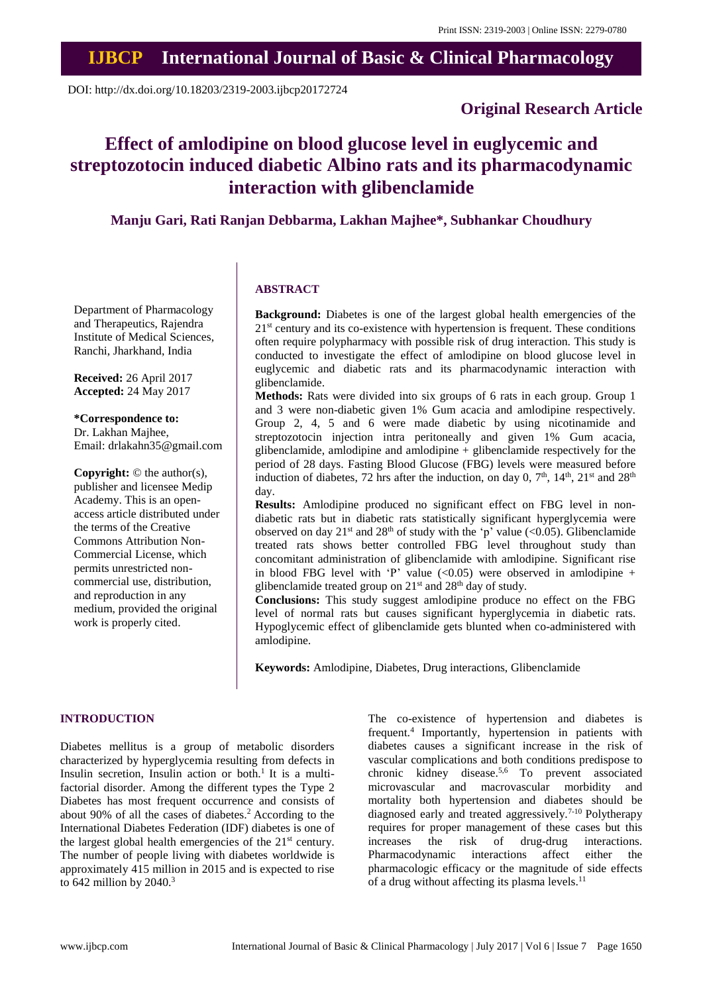### **IJBCP International Journal of Basic & Clinical Pharmacology**

DOI: http://dx.doi.org/10.18203/2319-2003.ijbcp20172724

#### **Original Research Article**

## **Effect of amlodipine on blood glucose level in euglycemic and streptozotocin induced diabetic Albino rats and its pharmacodynamic interaction with glibenclamide**

**Manju Gari, Rati Ranjan Debbarma, Lakhan Majhee\*, Subhankar Choudhury**

# **ABSTRACT**

**Background:** Diabetes is one of the largest global health emergencies of the 21<sup>st</sup> century and its co-existence with hypertension is frequent. These conditions often require polypharmacy with possible risk of drug interaction. This study is conducted to investigate the effect of amlodipine on blood glucose level in euglycemic and diabetic rats and its pharmacodynamic interaction with glibenclamide.

**Methods:** Rats were divided into six groups of 6 rats in each group. Group 1 and 3 were non-diabetic given 1% Gum acacia and amlodipine respectively. Group 2, 4, 5 and 6 were made diabetic by using nicotinamide and streptozotocin injection intra peritoneally and given 1% Gum acacia, glibenclamide, amlodipine and amlodipine + glibenclamide respectively for the period of 28 days. Fasting Blood Glucose (FBG) levels were measured before induction of diabetes, 72 hrs after the induction, on day 0,  $7<sup>th</sup>$ ,  $14<sup>th</sup>$ ,  $21<sup>st</sup>$  and  $28<sup>th</sup>$ day.

**Results:** Amlodipine produced no significant effect on FBG level in nondiabetic rats but in diabetic rats statistically significant hyperglycemia were observed on day  $21^{st}$  and  $28^{th}$  of study with the 'p' value (<0.05). Glibenclamide treated rats shows better controlled FBG level throughout study than concomitant administration of glibenclamide with amlodipine. Significant rise in blood FBG level with 'P' value  $\langle 0.05 \rangle$  were observed in amlodipine + glibenclamide treated group on  $21<sup>st</sup>$  and  $28<sup>th</sup>$  day of study.

**Conclusions:** This study suggest amlodipine produce no effect on the FBG level of normal rats but causes significant hyperglycemia in diabetic rats. Hypoglycemic effect of glibenclamide gets blunted when co-administered with amlodipine.

**Keywords:** Amlodipine, Diabetes, Drug interactions, Glibenclamide

#### **INTRODUCTION**

Diabetes mellitus is a group of metabolic disorders characterized by hyperglycemia resulting from defects in Insulin secretion, Insulin action or both.<sup>1</sup> It is a multifactorial disorder. Among the different types the Type 2 Diabetes has most frequent occurrence and consists of about 90% of all the cases of diabetes.<sup>2</sup> According to the International Diabetes Federation (IDF) diabetes is one of the largest global health emergencies of the  $21<sup>st</sup>$  century. The number of people living with diabetes worldwide is approximately 415 million in 2015 and is expected to rise to 642 million by 2040.<sup>3</sup>

The co-existence of hypertension and diabetes is frequent.<sup>4</sup> Importantly, hypertension in patients with diabetes causes a significant increase in the risk of vascular complications and both conditions predispose to chronic kidney disease.5,6 To prevent associated microvascular and macrovascular morbidity and mortality both hypertension and diabetes should be diagnosed early and treated aggressively.7-10 Polytherapy requires for proper management of these cases but this increases the risk of drug-drug interactions. Pharmacodynamic interactions affect either the pharmacologic efficacy or the magnitude of side effects of a drug without affecting its plasma levels.<sup>11</sup>

Department of Pharmacology and Therapeutics, Rajendra Institute of Medical Sciences, Ranchi, Jharkhand, India

**Received:** 26 April 2017 **Accepted:** 24 May 2017

**\*Correspondence to:** Dr. Lakhan Majhee, Email: drlakahn35@gmail.com

**Copyright:** © the author(s), publisher and licensee Medip Academy. This is an openaccess article distributed under the terms of the Creative Commons Attribution Non-Commercial License, which permits unrestricted noncommercial use, distribution, and reproduction in any medium, provided the original work is properly cited.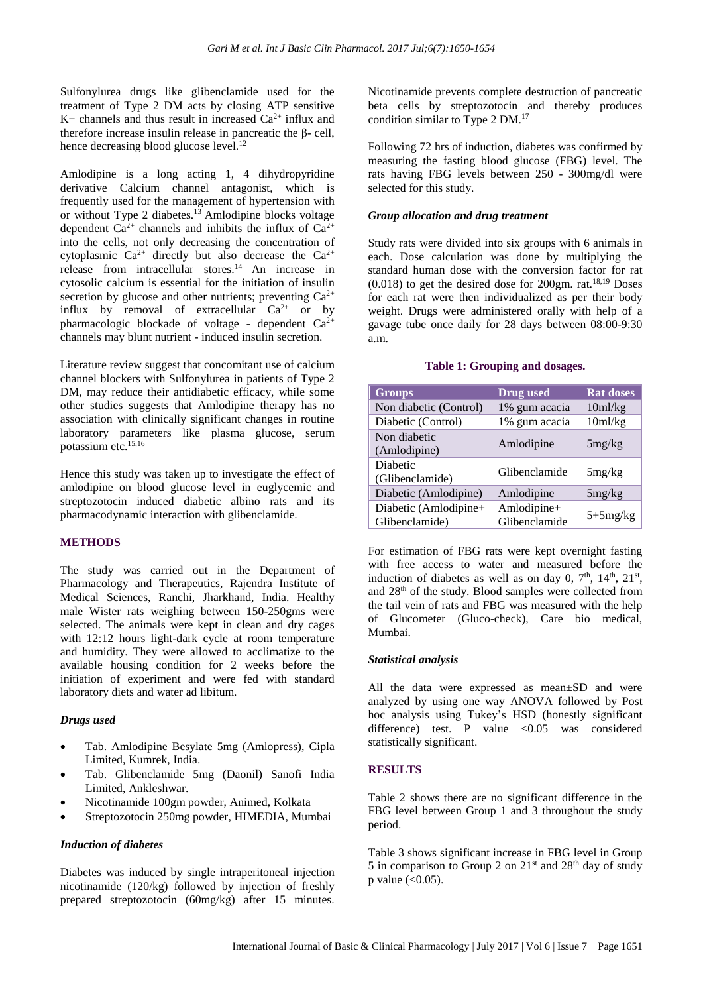Sulfonylurea drugs like glibenclamide used for the treatment of Type 2 DM acts by closing ATP sensitive K+ channels and thus result in increased  $Ca^{2+}$  influx and therefore increase insulin release in pancreatic the β- cell, hence decreasing blood glucose level.<sup>12</sup>

Amlodipine is a long acting 1, 4 dihydropyridine derivative Calcium channel antagonist, which is frequently used for the management of hypertension with or without Type 2 diabetes.<sup>13</sup> Amlodipine blocks voltage dependent  $Ca^{2+}$  channels and inhibits the influx of  $Ca^{2+}$ into the cells, not only decreasing the concentration of cytoplasmic  $Ca^{2+}$  directly but also decrease the  $Ca^{2+}$ release from intracellular stores.<sup>14</sup> An increase in cytosolic calcium is essential for the initiation of insulin secretion by glucose and other nutrients; preventing  $Ca^{2+}$ influx by removal of extracellular  $Ca^{2+}$  or by pharmacologic blockade of voltage - dependent  $Ca^{2+}$ channels may blunt nutrient - induced insulin secretion.

Literature review suggest that concomitant use of calcium channel blockers with Sulfonylurea in patients of Type 2 DM, may reduce their antidiabetic efficacy, while some other studies suggests that Amlodipine therapy has no association with clinically significant changes in routine laboratory parameters like plasma glucose, serum potassium etc.15,16

Hence this study was taken up to investigate the effect of amlodipine on blood glucose level in euglycemic and streptozotocin induced diabetic albino rats and its pharmacodynamic interaction with glibenclamide.

#### **METHODS**

The study was carried out in the Department of Pharmacology and Therapeutics, Rajendra Institute of Medical Sciences, Ranchi, Jharkhand, India. Healthy male Wister rats weighing between 150-250gms were selected. The animals were kept in clean and dry cages with 12:12 hours light-dark cycle at room temperature and humidity. They were allowed to acclimatize to the available housing condition for 2 weeks before the initiation of experiment and were fed with standard laboratory diets and water ad libitum.

#### *Drugs used*

- Tab. Amlodipine Besylate 5mg (Amlopress), Cipla Limited, Kumrek, India.
- Tab. Glibenclamide 5mg (Daonil) Sanofi India Limited, Ankleshwar.
- Nicotinamide 100gm powder, Animed, Kolkata
- Streptozotocin 250mg powder, HIMEDIA, Mumbai

#### *Induction of diabetes*

Diabetes was induced by single intraperitoneal injection nicotinamide (120/kg) followed by injection of freshly prepared streptozotocin (60mg/kg) after 15 minutes. Nicotinamide prevents complete destruction of pancreatic beta cells by streptozotocin and thereby produces condition similar to Type 2 DM. 17

Following 72 hrs of induction, diabetes was confirmed by measuring the fasting blood glucose (FBG) level. The rats having FBG levels between 250 - 300mg/dl were selected for this study.

#### *Group allocation and drug treatment*

Study rats were divided into six groups with 6 animals in each. Dose calculation was done by multiplying the standard human dose with the conversion factor for rat  $(0.018)$  to get the desired dose for 200gm. rat.<sup>18,19</sup> Doses for each rat were then individualized as per their body weight. Drugs were administered orally with help of a gavage tube once daily for 28 days between 08:00-9:30 a.m.

#### **Table 1: Grouping and dosages.**

| <b>Groups</b>                           | <b>Drug</b> used             | <b>Rat doses</b> |
|-----------------------------------------|------------------------------|------------------|
| Non diabetic (Control)                  | 1% gum acacia                | 10ml/kg          |
| Diabetic (Control)                      | 1% gum acacia                | 10ml/kg          |
| Non diabetic<br>(Amlodipine)            | Amlodipine                   | 5mg/kg           |
| Diabetic<br>(Glibenclamide)             | Glibenclamide                | 5mg/kg           |
| Diabetic (Amlodipine)                   | Amlodipine                   | 5mg/kg           |
| Diabetic (Amlodipine+<br>Glibenclamide) | Amlodipine+<br>Glibenclamide | $5+5mg/kg$       |

For estimation of FBG rats were kept overnight fasting with free access to water and measured before the induction of diabetes as well as on day 0,  $7<sup>th</sup>$ ,  $14<sup>th</sup>$ ,  $21<sup>st</sup>$ , and 28th of the study. Blood samples were collected from the tail vein of rats and FBG was measured with the help of Glucometer (Gluco-check), Care bio medical, Mumbai.

#### *Statistical analysis*

All the data were expressed as mean±SD and were analyzed by using one way ANOVA followed by Post hoc analysis using Tukey's HSD (honestly significant difference) test. P value  $\langle 0.05$  was considered statistically significant.

#### **RESULTS**

Table 2 shows there are no significant difference in the FBG level between Group 1 and 3 throughout the study period.

Table 3 shows significant increase in FBG level in Group 5 in comparison to Group 2 on  $21<sup>st</sup>$  and  $28<sup>th</sup>$  day of study p value  $( $0.05$ ).$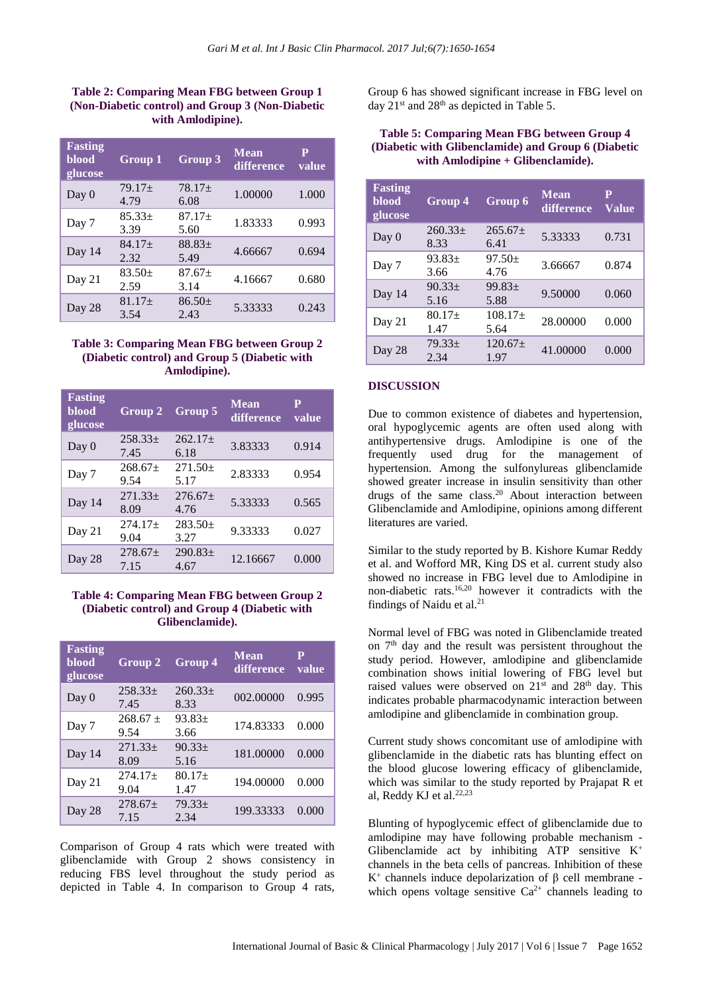#### **Table 2: Comparing Mean FBG between Group 1 (Non-Diabetic control) and Group 3 (Non-Diabetic with Amlodipine).**

| <b>Fasting</b><br><b>blood</b><br>glucose | Group 1          | <b>Group 3</b>   | <b>Mean</b><br>difference | P<br>value |
|-------------------------------------------|------------------|------------------|---------------------------|------------|
| Day 0                                     | $79.17+$<br>4.79 | $78.17+$<br>6.08 | 1.00000                   | 1.000      |
| Day 7                                     | $85.33+$<br>3.39 | $87.17+$<br>5.60 | 1.83333                   | 0.993      |
| Day 14                                    | $84.17+$<br>2.32 | $88.83+$<br>5.49 | 4.66667                   | 0.694      |
| Day 21                                    | $83.50+$<br>2.59 | $87.67+$<br>3.14 | 4.16667                   | 0.680      |
| Day 28                                    | $81.17+$<br>3.54 | $86.50+$<br>2.43 | 5.33333                   | 0.243      |

#### **Table 3: Comparing Mean FBG between Group 2 (Diabetic control) and Group 5 (Diabetic with Amlodipine).**

| <b>Fasting</b><br>blood<br>glucose | <b>Group 2</b>       | Group 5                     | <b>Mean</b><br>difference | Р<br>value |
|------------------------------------|----------------------|-----------------------------|---------------------------|------------|
| Day 0                              | $258.33+$<br>7.45    | $262.17+$<br>6.18           | 3.83333                   | 0.914      |
| Day 7                              | $268.67 \pm$<br>9.54 | $271.50+$<br>5.17           | 2.83333                   | 0.954      |
| Day 14                             | $271.33+$<br>8.09    | $276.67+$<br>4.76           | 5.33333                   | 0.565      |
| Day 21                             | $274.17+$<br>9.04    | $283.50+$<br>3.27           | 9.33333                   | 0.027      |
| Day 28                             | $278.67+$<br>7.15    | 290.83 <sub>±</sub><br>4.67 | 12.16667                  | 0.000      |

#### **Table 4: Comparing Mean FBG between Group 2 (Diabetic control) and Group 4 (Diabetic with Glibenclamide).**

| <b>Fasting</b><br>blood<br>glucose | <b>Group 2</b>       | <b>Group 4</b>    | <b>Mean</b><br>difference | P<br>value |
|------------------------------------|----------------------|-------------------|---------------------------|------------|
| Day 0                              | $258.33+$<br>7.45    | $260.33+$<br>8.33 | 002.00000                 | 0.995      |
| Day 7                              | $268.67 \pm$<br>9.54 | $93.83+$<br>3.66  | 174.83333                 | 0.000      |
| Day 14                             | $271.33+$<br>8.09    | $90.33+$<br>5.16  | 181,00000                 | 0.000      |
| Day 21                             | $274.17+$<br>9.04    | $80.17+$<br>1.47  | 194.00000                 | 0.000      |
| Day 28                             | $278.67+$<br>7.15    | $79.33+$<br>2.34  | 199.33333                 | 0.000      |

Comparison of Group 4 rats which were treated with glibenclamide with Group 2 shows consistency in reducing FBS level throughout the study period as depicted in Table 4. In comparison to Group 4 rats, Group 6 has showed significant increase in FBG level on day  $21<sup>st</sup>$  and  $28<sup>th</sup>$  as depicted in Table 5.

#### **Table 5: Comparing Mean FBG between Group 4 (Diabetic with Glibenclamide) and Group 6 (Diabetic with Amlodipine + Glibenclamide).**

| <b>Fasting</b><br>blood<br>glucose | <b>Group 4</b>      | <b>Group 6</b>       | <b>Mean</b><br>difference | P<br><b>Value</b> |
|------------------------------------|---------------------|----------------------|---------------------------|-------------------|
| Day 0                              | $260.33\pm$<br>8.33 | $265.67 \pm$<br>6.41 | 5.33333                   | 0.731             |
| Day 7                              | $93.83+$<br>3.66    | $97.50+$<br>4.76     | 3.66667                   | 0.874             |
| Day 14                             | $90.33+$<br>5.16    | $99.83+$<br>5.88     | 9.50000                   | 0.060             |
| Day 21                             | $80.17+$<br>1.47    | $108.17+$<br>5.64    | 28.00000                  | 0.000             |
| Day 28                             | $79.33+$<br>2.34    | $120.67+$<br>1.97    | 41.00000                  | 0.000             |

#### **DISCUSSION**

Due to common existence of diabetes and hypertension, oral hypoglycemic agents are often used along with antihypertensive drugs. Amlodipine is one of the frequently used drug for the management of hypertension. Among the sulfonylureas glibenclamide showed greater increase in insulin sensitivity than other drugs of the same class.<sup>20</sup> About interaction between Glibenclamide and Amlodipine, opinions among different literatures are varied.

Similar to the study reported by B. Kishore Kumar Reddy et al. and Wofford MR, King DS et al. current study also showed no increase in FBG level due to Amlodipine in non-diabetic rats.16,20 however it contradicts with the findings of Naidu et al.<sup>21</sup>

Normal level of FBG was noted in Glibenclamide treated on 7 th day and the result was persistent throughout the study period. However, amlodipine and glibenclamide combination shows initial lowering of FBG level but raised values were observed on  $21<sup>st</sup>$  and  $28<sup>th</sup>$  day. This indicates probable pharmacodynamic interaction between amlodipine and glibenclamide in combination group.

Current study shows concomitant use of amlodipine with glibenclamide in the diabetic rats has blunting effect on the blood glucose lowering efficacy of glibenclamide, which was similar to the study reported by Prajapat R et al, Reddy KJ et al. 22,23

Blunting of hypoglycemic effect of glibenclamide due to amlodipine may have following probable mechanism - Glibenclamide act by inhibiting ATP sensitive  $K^+$ channels in the beta cells of pancreas. Inhibition of these K<sup>+</sup> channels induce depolarization of  $β$  cell membrane which opens voltage sensitive  $Ca^{2+}$  channels leading to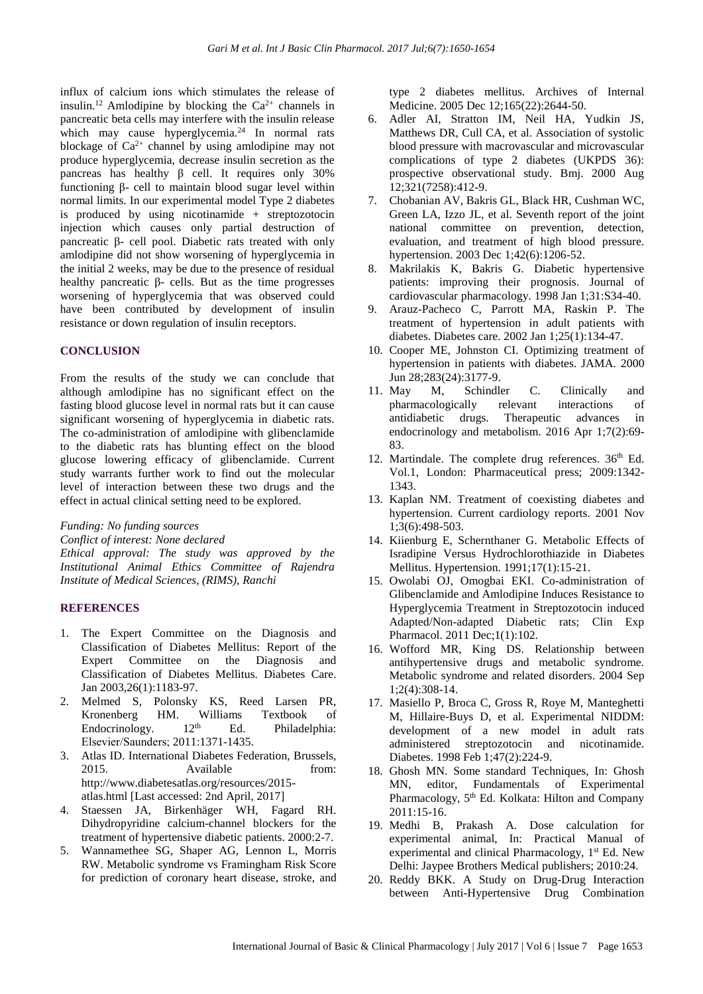influx of calcium ions which stimulates the release of insulin.<sup>12</sup> Amlodipine by blocking the  $Ca^{2+}$  channels in pancreatic beta cells may interfere with the insulin release which may cause hyperglycemia. $24$  In normal rats blockage of  $Ca^{2+}$  channel by using amlodipine may not produce hyperglycemia, decrease insulin secretion as the pancreas has healthy β cell. It requires only 30% functioning β- cell to maintain blood sugar level within normal limits. In our experimental model Type 2 diabetes is produced by using nicotinamide + streptozotocin injection which causes only partial destruction of pancreatic β- cell pool. Diabetic rats treated with only amlodipine did not show worsening of hyperglycemia in the initial 2 weeks, may be due to the presence of residual healthy pancreatic β- cells. But as the time progresses worsening of hyperglycemia that was observed could have been contributed by development of insulin resistance or down regulation of insulin receptors.

#### **CONCLUSION**

From the results of the study we can conclude that although amlodipine has no significant effect on the fasting blood glucose level in normal rats but it can cause significant worsening of hyperglycemia in diabetic rats. The co-administration of amlodipine with glibenclamide to the diabetic rats has blunting effect on the blood glucose lowering efficacy of glibenclamide. Current study warrants further work to find out the molecular level of interaction between these two drugs and the effect in actual clinical setting need to be explored.

*Funding: No funding sources*

*Conflict of interest: None declared*

*Ethical approval: The study was approved by the Institutional Animal Ethics Committee of Rajendra Institute of Medical Sciences, (RIMS), Ranchi*

#### **REFERENCES**

- 1. The Expert Committee on the Diagnosis and Classification of Diabetes Mellitus: Report of the Expert Committee on the Diagnosis and Classification of Diabetes Mellitus. Diabetes Care. Jan 2003,26(1):1183-97.
- 2. Melmed S, Polonsky KS, Reed Larsen PR, Kronenberg HM. Williams Textbook of<br>Endocrinology. 12<sup>th</sup> Ed. Philadelnhia: Endocrinology.  $12<sup>th</sup>$  Ed. Philadelphia: Elsevier/Saunders; 2011:1371-1435.
- 3. Atlas ID. International Diabetes Federation, Brussels, 2015. Available from: http://www.diabetesatlas.org/resources/2015 atlas.html [Last accessed: 2nd April, 2017]
- 4. Staessen JA, Birkenhäger WH, Fagard RH. Dihydropyridine calcium-channel blockers for the treatment of hypertensive diabetic patients. 2000:2-7.
- 5. Wannamethee SG, Shaper AG, Lennon L, Morris RW. Metabolic syndrome vs Framingham Risk Score for prediction of coronary heart disease, stroke, and

type 2 diabetes mellitus. Archives of Internal Medicine. 2005 Dec 12;165(22):2644-50.

- 6. Adler AI, Stratton IM, Neil HA, Yudkin JS, Matthews DR, Cull CA, et al. Association of systolic blood pressure with macrovascular and microvascular complications of type 2 diabetes (UKPDS 36): prospective observational study. Bmj. 2000 Aug 12;321(7258):412-9.
- 7. Chobanian AV, Bakris GL, Black HR, Cushman WC, Green LA, Izzo JL, et al. Seventh report of the joint national committee on prevention, detection, evaluation, and treatment of high blood pressure. hypertension. 2003 Dec 1;42(6):1206-52.
- 8. Makrilakis K, Bakris G. Diabetic hypertensive patients: improving their prognosis. Journal of cardiovascular pharmacology. 1998 Jan 1;31:S34-40.
- 9. Arauz-Pacheco C, Parrott MA, Raskin P. The treatment of hypertension in adult patients with diabetes. Diabetes care. 2002 Jan 1;25(1):134-47.
- 10. Cooper ME, Johnston CI. Optimizing treatment of hypertension in patients with diabetes. JAMA. 2000 Jun 28;283(24):3177-9.
- 11. May M, Schindler C. Clinically and pharmacologically relevant interactions of antidiabetic drugs. Therapeutic advances in endocrinology and metabolism. 2016 Apr 1;7(2):69- 83.
- 12. Martindale. The complete drug references. 36<sup>th</sup> Ed. Vol.1, London: Pharmaceutical press; 2009:1342- 1343.
- 13. Kaplan NM. Treatment of coexisting diabetes and hypertension. Current cardiology reports. 2001 Nov 1;3(6):498-503.
- 14. Kiienburg E, Schernthaner G. Metabolic Effects of Isradipine Versus Hydrochlorothiazide in Diabetes Mellitus. Hypertension. 1991;17(1):15-21.
- 15. Owolabi OJ, Omogbai EKI. Co-administration of Glibenclamide and Amlodipine Induces Resistance to Hyperglycemia Treatment in Streptozotocin induced Adapted/Non-adapted Diabetic rats; Clin Exp Pharmacol. 2011 Dec;1(1):102.
- 16. Wofford MR, King DS. Relationship between antihypertensive drugs and metabolic syndrome. Metabolic syndrome and related disorders. 2004 Sep 1;2(4):308-14.
- 17. Masiello P, Broca C, Gross R, Roye M, Manteghetti M, Hillaire-Buys D, et al. Experimental NIDDM: development of a new model in adult rats administered streptozotocin and nicotinamide. Diabetes. 1998 Feb 1;47(2):224-9.
- 18. Ghosh MN. Some standard Techniques, In: Ghosh MN, editor, Fundamentals of Experimental Pharmacology, 5<sup>th</sup> Ed. Kolkata: Hilton and Company 2011:15-16.
- 19. Medhi B, Prakash A. Dose calculation for experimental animal, In: Practical Manual of experimental and clinical Pharmacology, 1<sup>st</sup> Ed. New Delhi: Jaypee Brothers Medical publishers; 2010:24.
- 20. Reddy BKK. A Study on Drug-Drug Interaction between Anti-Hypertensive Drug Combination